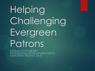# Helping Challenging Evergreen Patrons

INDIANA STATE LIBRARY PROFESSIONAL DEVELOPMENT OFFICE EVERGREEN INDIANA 2013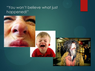#### "You won't believe what just happened!"

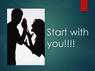

# Start with you!!!!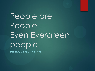## People are People Even Evergreen people THE TRIGGERS & THE TYPES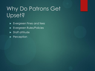### Why Do Patrons Get Upset?

- **Exergreen Fines and fees Evergreen Rules/Policies** Staff attitude
- $\blacktriangleright$  Perception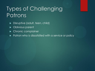- **Disruptive (adult, teen, child)**
- **Divious parent**
- **Chronic complainer**
- Patron who is dissatisfied with a service or policy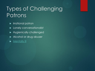- $\blacktriangleright$  Irrational patron
- **Lonely conversationalist**
- Hygienically challenged
- Alcohol or drug abuser
- [Mentally ill](http://www.nami.org/MSTemplate.cfm?Section=Home307&Site=NAMI_Indiana&Template=/ContentManagement/HTMLDisplay.cfm&ContentID=148002)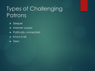- Sleeper
- **Internet voyeur**
- **Politically connected**
- $\blacktriangleright$  Know-it-all
- $\blacktriangleright$  Teen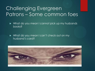### Challenging Evergreen Patrons – Some common foes

What do you mean I cannot pick up my husbands books?

Mhat do you mean I can't check out on my husband's card?

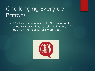### Challenging Evergreen **Patrons**

▶ What do you mean you don't know when that Janet Evanovich book is going to be here? I've been on the holds list for 3 months!!!!!!!

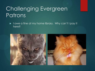### Challenging Evergreen **Patrons**

I owe a fine at my home library. Why can't I pay it here?

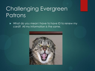### Challenging Evergreen **Patrons**

▶ What do you mean I have to have ID to renew my card? All my information is the same.

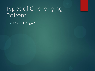Who did I forget?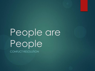## People are People CONFLICT RESOLUTION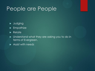### People are People

- **>** Judging
- **Empathize**
- **Relate**
- $\blacktriangleright$  Understand what they are asking you to do in terms of Evergreen.
- Assist with needs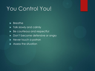### You Control You!

#### $\blacktriangleright$  Breather

- $\blacktriangleright$  Talk slowly and calmly
- Be courteous and respectful
- ▶ Don't become defensive or angry
- Never touch a patron
- **Assess the situation**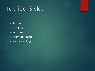### Tactical Styles

 $\blacktriangleright$  Forcing **Avoiding Accommodating** Compromising  $\blacktriangleright$  Collaborating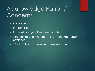### Acknowledge Patrons' **Concerns**

- No problems
- **Paraphrase**
- Policy know your Evergreen policies
- Appropriate staff member know who has Admin privileges.
- What to do during evening, weekend hours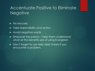### Accentuate Positive to Eliminate Negative

#### $\triangleright$  No excuses

- Take responsibility *and* action
- Avoid negative words
- $\blacktriangleright$  Empower the patron help them understand what all the benefits are of using Evergreen
- Don't forget to use Help desk tickets if you encounter a problem.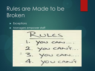### Rules are Made to be Broken

Exceptions

Managers empower staff

LULES you can OU CANT U CAN. UCAN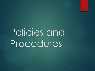Policies and Procedures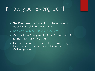### Know your Evergreen!

- **The Evergreen Indiana blog is the source of** updates for all things Evergreen.
- <http://www.in.gov/library/3382.htm>
- ▶ Contact the Evergreen Indiana Coordinator for further information as well.
- ▶ Consider service on one of the many Evergreen Indiana committees as well : Circulation, Cataloging, etc.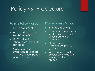### Policy vs. Procedure

#### Patron Policy Manual

- Public document
- Approved and adopted by Library Board
- **ISL, WebJunction,** listservs great places to get ideas
- Make sure your Evergreen policies are included in your patron policy manual

#### Procedures Manual

- **Internal document**
- Step-by-step instructions for staff in dealing with difficult patrons or situations
- **ISL, WebJunction,** listservs great places to get ideas
- Make certain your El policies are included in your procedures manual.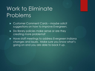### Work to Eliminate Problems

- ▶ Customer Comment Cards maybe solicit suggestions on how to improve Evergreen.
- ▶ Do library policies make sense or are they creating more problems?
- Have staff meetings to address Evergreen Indiana changes and issues. Make sure you know what's going on and you are able to back it up.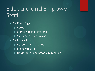### Educate and Empower **Staff**

#### Staff trainings

 $\blacktriangleright$  Police

**Mental health professionals** 

- Customer service trainings
- Staff meetings
	- **Patron comment cards**
	- Incident reports
	- **Library policy and procedure manuals**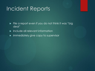### Incident Reports

- $\blacktriangleright$  File a report even if you do not think it was "big deal"
- **Include all relevant information**
- **Immediately give copy to supervisor**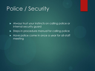### Police / Security

Always trust your instincts on calling police or internal security guard

- Steps in procedure manual for calling police
- Have police come in once a year for all-staff meeting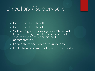### Directors / Supervisors

#### ▶ Communicate with staff

- Communicate with patrons
- Staff training make sure your staff is properly trained in Evergreen. ISL offers a variety of resources: classes, webinars, and documentation.
- Keep policies and procedures up to date
- Establish and communicate parameters for staff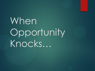When Opportunity Knocks…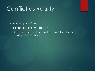### Conflict as Reality

Matural part of life

▶ Neither positive or negative

 $\triangleright$  the way we deal with conflict makes the situation positive or negative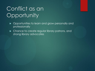### Conflict as an **Opportunity**

- ▶ Opportunities to learn and grow personally and professionally
- **Chance to create regular library patrons, and** strong library advocates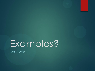# Examples?

QUESTIONS?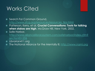### Works Cited

- **Search For Common Ground,** [http://www.sfcg.org/resources/resources\\_tips.html](http://www.sfcg.org/resources/resources_tips.html)
- Patterson, Kerry, et al. **Crucial Conversations: Tools for talking when stakes are high**. McGraw Hill. New York. 2002.
- Safe Harbor, [http://www.alliancelibrarysystem.com/safeharbor/index.cfm?](http://www.alliancelibrarysystem.com/safeharbor/index.cfm?sectionID=206) [sectionID=206](http://www.alliancelibrarysystem.com/safeharbor/index.cfm?sectionID=206)
- Librarian411.org
- The National Alliance for the Mentally Ill, [http://www.nami.org](http://www.nami.org/)